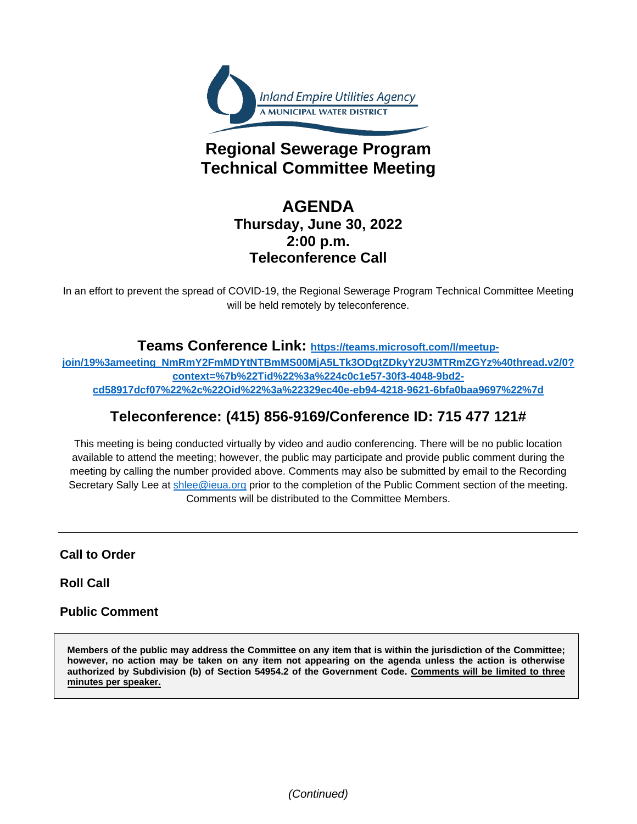

# **Regional Sewerage Program Technical Committee Meeting**

# **AGENDA Thursday, June 30, 2022 2:00 p.m. Teleconference Call**

In an effort to prevent the spread of COVID-19, the Regional Sewerage Program Technical Committee Meeting will be held remotely by teleconference.

# **Teams Conference Link: [https://teams.microsoft.com/l/meetup-](https://teams.microsoft.com/l/meetup-join/19%3ameeting_NmRmY2FmMDYtNTBmMS00MjA5LTk3ODgtZDkyY2U3MTRmZGYz%40thread.v2/0?context=%7b%22Tid%22%3a%224c0c1e57-30f3-4048-9bd2-cd58917dcf07%22%2c%22Oid%22%3a%22329ec40e-eb94-4218-9621-6bfa0baa9697%22%7d)**

**[join/19%3ameeting\\_NmRmY2FmMDYtNTBmMS00MjA5LTk3ODgtZDkyY2U3MTRmZGYz%40thread.v2/0?](https://teams.microsoft.com/l/meetup-join/19%3ameeting_NmRmY2FmMDYtNTBmMS00MjA5LTk3ODgtZDkyY2U3MTRmZGYz%40thread.v2/0?context=%7b%22Tid%22%3a%224c0c1e57-30f3-4048-9bd2-cd58917dcf07%22%2c%22Oid%22%3a%22329ec40e-eb94-4218-9621-6bfa0baa9697%22%7d) [context=%7b%22Tid%22%3a%224c0c1e57-30f3-4048-9bd2](https://teams.microsoft.com/l/meetup-join/19%3ameeting_NmRmY2FmMDYtNTBmMS00MjA5LTk3ODgtZDkyY2U3MTRmZGYz%40thread.v2/0?context=%7b%22Tid%22%3a%224c0c1e57-30f3-4048-9bd2-cd58917dcf07%22%2c%22Oid%22%3a%22329ec40e-eb94-4218-9621-6bfa0baa9697%22%7d) [cd58917dcf07%22%2c%22Oid%22%3a%22329ec40e-eb94-4218-9621-6bfa0baa9697%22%7d](https://teams.microsoft.com/l/meetup-join/19%3ameeting_NmRmY2FmMDYtNTBmMS00MjA5LTk3ODgtZDkyY2U3MTRmZGYz%40thread.v2/0?context=%7b%22Tid%22%3a%224c0c1e57-30f3-4048-9bd2-cd58917dcf07%22%2c%22Oid%22%3a%22329ec40e-eb94-4218-9621-6bfa0baa9697%22%7d)**

# **Teleconference: (415) 856-9169/Conference ID: 715 477 121#**

This meeting is being conducted virtually by video and audio conferencing. There will be no public location available to attend the meeting; however, the public may participate and provide public comment during the meeting by calling the number provided above. Comments may also be submitted by email to the Recording Secretary Sally Lee at [shlee@ieua.org](mailto:shlee@ieua.org) prior to the completion of the Public Comment section of the meeting. Comments will be distributed to the Committee Members.

**Call to Order**

**Roll Call**

# **Public Comment**

**Members of the public may address the Committee on any item that is within the jurisdiction of the Committee; however, no action may be taken on any item not appearing on the agenda unless the action is otherwise authorized by Subdivision (b) of Section 54954.2 of the Government Code. Comments will be limited to three minutes per speaker.**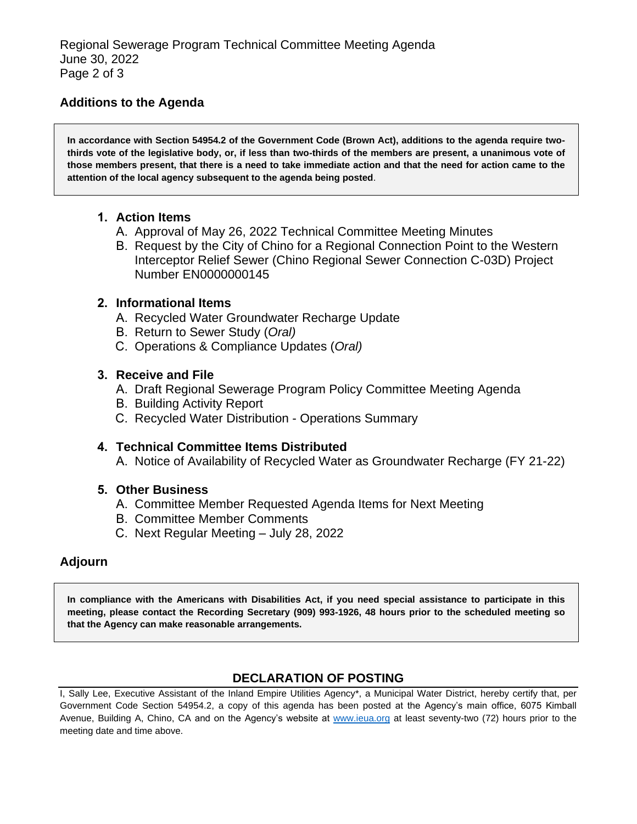# **Additions to the Agenda**

**In accordance with Section 54954.2 of the Government Code (Brown Act), additions to the agenda require twothirds vote of the legislative body, or, if less than two-thirds of the members are present, a unanimous vote of those members present, that there is a need to take immediate action and that the need for action came to the attention of the local agency subsequent to the agenda being posted**.

# **1. Action Items**

- A. Approval of May 26, 2022 Technical Committee Meeting Minutes
- B. Request by the City of Chino for a Regional Connection Point to the Western Interceptor Relief Sewer (Chino Regional Sewer Connection C-03D) Project Number EN0000000145

#### **2. Informational Items**

- A. Recycled Water Groundwater Recharge Update
- B. Return to Sewer Study (*Oral)*
- C. Operations & Compliance Updates (*Oral)*

# **3. Receive and File**

- A. Draft Regional Sewerage Program Policy Committee Meeting Agenda
- B. Building Activity Report
- C. Recycled Water Distribution Operations Summary

# **4. Technical Committee Items Distributed**

A. Notice of Availability of Recycled Water as Groundwater Recharge (FY 21-22)

# **5. Other Business**

- A. Committee Member Requested Agenda Items for Next Meeting
- B. Committee Member Comments
- C. Next Regular Meeting July 28, 2022

# **Adjourn**

**In compliance with the Americans with Disabilities Act, if you need special assistance to participate in this meeting, please contact the Recording Secretary (909) 993-1926, 48 hours prior to the scheduled meeting so that the Agency can make reasonable arrangements.**

# **DECLARATION OF POSTING**

I, Sally Lee, Executive Assistant of the Inland Empire Utilities Agency\*, a Municipal Water District, hereby certify that, per Government Code Section 54954.2, a copy of this agenda has been posted at the Agency's main office, 6075 Kimball Avenue, Building A, Chino, CA and on the Agency's website at [www.ieua.org](http://www.ieua.org/) at least seventy-two (72) hours prior to the meeting date and time above.